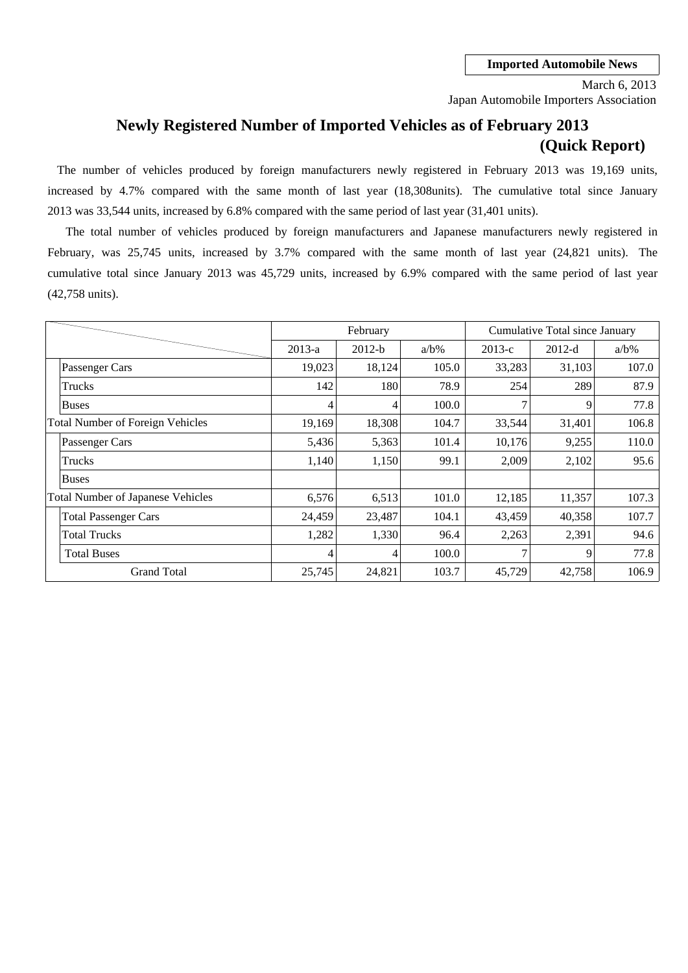Japan Automobile Importers Association March 6, 2013

## **Newly Registered Number of Imported Vehicles as of February 2013 (Quick Report)**

The number of vehicles produced by foreign manufacturers newly registered in February 2013 was 19,169 units, increased by 4.7% compared with the same month of last year (18,308units). The cumulative total since January 2013 was 33,544 units, increased by 6.8% compared with the same period of last year (31,401 units).

cumulative total since January 2013 was 45,729 units, increased by 6.9% compared with the same period of last year February, was 25,745 units, increased by 3.7% compared with the same month of last year (24,821 units). The (42,758 units). The total number of vehicles produced by foreign manufacturers and Japanese manufacturers newly registered in

|                                         |                                          |          | February |         | Cumulative Total since January |          |         |  |
|-----------------------------------------|------------------------------------------|----------|----------|---------|--------------------------------|----------|---------|--|
|                                         |                                          | $2013-a$ | $2012-b$ | $a/b\%$ | $2013-c$                       | $2012-d$ | $a/b\%$ |  |
|                                         | Passenger Cars                           | 19,023   | 18,124   | 105.0   | 33,283                         | 31,103   | 107.0   |  |
|                                         | Trucks                                   | 142      | 180      | 78.9    | 254                            | 289      | 87.9    |  |
|                                         | <b>Buses</b>                             | 4        | 4        | 100.0   | 7                              | 9        | 77.8    |  |
| <b>Total Number of Foreign Vehicles</b> |                                          | 19,169   | 18,308   | 104.7   | 33,544                         | 31,401   | 106.8   |  |
|                                         | Passenger Cars                           | 5,436    | 5,363    | 101.4   | 10,176                         | 9,255    | 110.0   |  |
|                                         | Trucks                                   | 1,140    | 1,150    | 99.1    | 2,009                          | 2,102    | 95.6    |  |
|                                         | <b>Buses</b>                             |          |          |         |                                |          |         |  |
|                                         | <b>Total Number of Japanese Vehicles</b> | 6,576    | 6,513    | 101.0   | 12,185                         | 11,357   | 107.3   |  |
|                                         | <b>Total Passenger Cars</b>              | 24,459   | 23,487   | 104.1   | 43,459                         | 40,358   | 107.7   |  |
|                                         | <b>Total Trucks</b>                      | 1,282    | 1,330    | 96.4    | 2,263                          | 2,391    | 94.6    |  |
|                                         | <b>Total Buses</b>                       | 4        | 4        | 100.0   | $\mathcal{I}$                  | 9        | 77.8    |  |
|                                         | <b>Grand Total</b>                       | 25,745   | 24,821   | 103.7   | 45,729                         | 42,758   | 106.9   |  |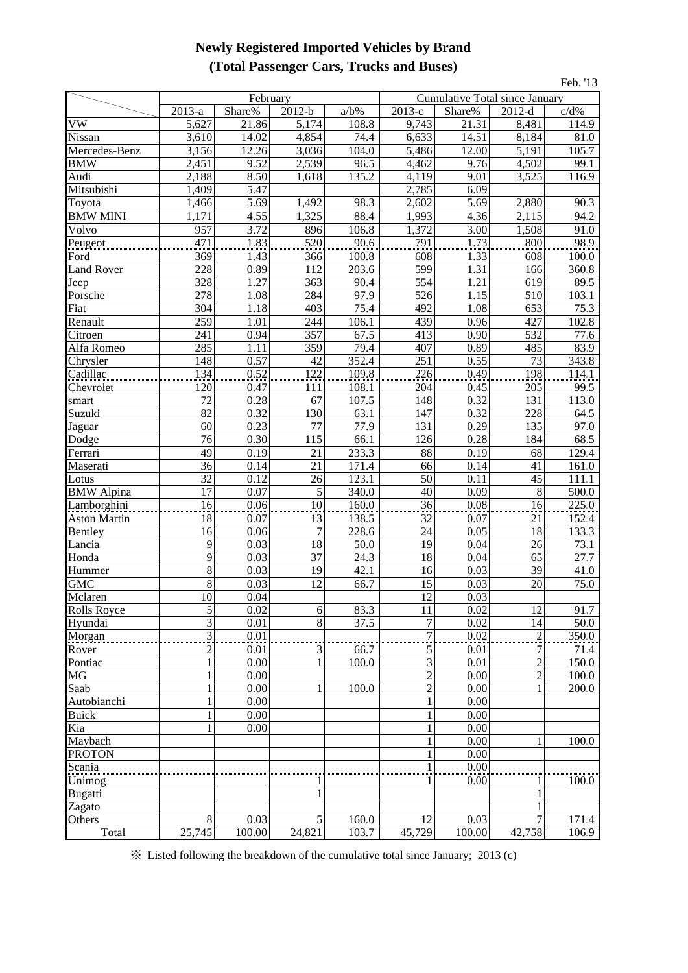### **Newly Registered Imported Vehicles by Brand (Total Passenger Cars, Trucks and Buses)**

|                      |                         |              |                 |                    |                      |                                |                        | Feb. '13      |
|----------------------|-------------------------|--------------|-----------------|--------------------|----------------------|--------------------------------|------------------------|---------------|
|                      |                         | February     |                 |                    |                      | Cumulative Total since January |                        |               |
|                      | $\overline{2013}$ -a    | Share%       | $2012-b$        | $a/b\%$            | $\overline{2013}$ -c | Share%                         | $2012-d$               | c/d%          |
| VW                   | 5,627                   | 21.86        | 5,174           | 108.8              | 9,743                | 21.31                          | 8,481                  | 114.9         |
| Nissan               | 3,610                   | 14.02        | 4,854           | 74.4               | 6,633                | 14.51                          | 8,184                  | 81.0          |
| Mercedes-Benz        | 3,156                   | 12.26        | 3,036           | 104.0              | 5,486                | 12.00                          | 5,191                  | 105.7         |
| <b>BMW</b>           | 2,451                   | 9.52         | 2,539           | 96.5               | 4,462                | 9.76                           | 4,502                  | 99.1          |
| Audi                 | 2,188                   | 8.50         | 1,618           | 135.2              | 4,119                | 9.01                           | 3,525                  | 116.9         |
| Mitsubishi           | 1,409                   | 5.47         |                 |                    | 2,785                | 6.09                           |                        |               |
| Toyota               | 1,466                   | 5.69         | 1,492           | 98.3               | 2,602                | 5.69                           | 2,880                  | 90.3          |
| <b>BMW MINI</b>      | 1,171                   | 4.55         | 1,325           | 88.4               | 1,993                | 4.36                           | 2,115                  | 94.2          |
| Volvo                | 957                     | 3.72         | 896             | 106.8              | 1,372                | 3.00                           | 1,508                  | 91.0          |
| Peugeot              | $\overline{471}$        | 1.83         | 520<br>         | 90.6               | 791                  | 1.73                           | 800                    | 98.9          |
| Ford                 | 369                     | 1.43         | 366             | 100.8              | 608                  | 1.33                           | 608                    | 100.0         |
| <b>Land Rover</b>    | 228                     | 0.89         | 112             | 203.6              | 599                  | 1.31                           | 166                    | 360.8         |
| Jeep                 | 328                     | 1.27         | 363             | 90.4               | 554                  | 1.21                           | 619                    | 89.5          |
| Porsche              | 278                     | 1.08         | 284             | 97.9<br>75.4       | 526<br>492           | 1.15                           | 510<br>653             | 103.1<br>75.3 |
| Fiat                 | 304                     | 1.18         | 403             |                    |                      | 1.08                           |                        |               |
| Renault              | 259                     | 1.01         | 244             | 106.1              | 439                  | 0.96<br>0.90                   | 427                    | 102.8         |
| Citroen              | 241                     | 0.94         | 357             | 67.5               | 413                  |                                | 532                    | 77.6          |
| Alfa Romeo           | 285<br>148              | 1.11<br>0.57 | 359<br>42       | 79.4<br>352.4      | 407<br>251           | 0.89<br>0.55                   | 485<br>$\overline{73}$ | 83.9<br>343.8 |
| Chrysler<br>Cadillac | 134                     | 0.52         | 122             | 109.8              |                      | 0.49                           | 198                    | 114.1         |
| Chevrolet            | 120                     | 0.47         | 111             | 108.1              | 226<br>204           | 0.45                           | 205                    | 99.5          |
| smart                | 72                      | 0.28         | 67              | 107.5              | 148                  | 0.32                           | 131                    | 113.0         |
| Suzuki               | 82                      | 0.32         | 130             | 63.1               | 147                  | 0.32                           | 228                    | 64.5          |
| Jaguar               | 60                      | 0.23         | 77              | 77.9               | 131                  | 0.29                           | $\overline{135}$       | 97.0          |
| Dodge                | 76                      | 0.30         | 115             | 66.1               | 126                  | 0.28                           | 184                    | 68.5          |
| Ferrari              | 49                      | 0.19         | 21              | 233.3              | 88                   | 0.19                           | 68                     | 129.4         |
| Maserati             | 36                      | 0.14         | 21              | 171.4              | 66                   | 0.14                           | 41                     | 161.0         |
| Lotus                | $\overline{32}$         | 0.12         | 26              | 123.1              | 50                   | 0.11                           | 45                     | 111.1         |
| <b>BMW</b> Alpina    | $\overline{17}$         | 0.07         | 5               | 340.0              | 40                   | 0.09                           | 8                      | 500.0         |
| Lamborghini          | 16                      | 0.06         | 10              | $\overline{160.0}$ | $\frac{36}{5}$       | 0.08                           | 16                     | 225.0         |
| <b>Aston Martin</b>  | 18                      | 0.07         | 13              | 138.5              | 32                   | 0.07                           | անա<br>21              | 152.4         |
| Bentley              | 16                      | 0.06         | $\overline{7}$  | 228.6              | 24                   | 0.05                           | 18                     | 133.3         |
| Lancia               | 9                       | 0.03         | 18              | 50.0               | 19                   | 0.04                           | 26                     | 73.1          |
| Honda                | 9                       | 0.03         | 37              | 24.3               | 18                   | 0.04                           | 65                     | 27.7          |
| Hummer               | $\overline{8}$          | 0.03         | 19              | 42.1               | 16                   | 0.03                           | 39                     | 41.0          |
| <b>GMC</b>           | $\overline{8}$          | 0.03         | $\overline{12}$ | 66.7               | 15                   | 0.03                           | 20                     | 75.0          |
| Mclaren              | 10                      | 0.04         |                 |                    | 12                   | 0.03                           |                        |               |
| Rolls Royce          | $\overline{5}$          | 0.02         | 6               | 83.3               | $\overline{11}$      | 0.02                           | 12                     | 91.7          |
| Hyundai              | 3                       | 0.01         | 8               | 37.5               | $\overline{7}$       | 0.02                           | 14                     | 50.0          |
| Morgan               | $\overline{\mathbf{3}}$ | 0.01         |                 |                    | $\overline{7}$       | 0.02                           | $\frac{2}{7}$          | 350.0         |
| Rover                | $\overline{c}$          | 0.01         | 3               | 66.7               | $\overline{5}$       | 0.01                           |                        | 71.4          |
| Pontiac              | $\mathbf{1}$            | 0.00         | 1               | 100.0              | 3                    | 0.01                           | $\overline{c}$         | 150.0         |
| MG                   | $\mathbf{1}$            | 0.00         |                 |                    | $\overline{c}$       | 0.00                           | $\overline{2}$         | 100.0         |
| Saab                 | $\mathbf{1}$            | 0.00         |                 | 100.0              | $\overline{2}$       | 0.00                           | 1                      | 200.0         |
| Autobianchi          | 1                       | 0.00         |                 |                    | 1                    | 0.00                           |                        |               |
| <b>Buick</b>         | 1                       | 0.00         |                 |                    | 1                    | 0.00                           |                        |               |
| Kia                  |                         | 0.00         |                 |                    |                      | 0.00                           |                        |               |
| Maybach              |                         |              |                 |                    |                      | 0.00                           | 1                      | 100.0         |
| <b>PROTON</b>        |                         |              |                 |                    |                      | 0.00                           |                        |               |
| Scania               |                         |              |                 |                    |                      | 0.00                           |                        |               |
| Unimog               |                         |              |                 |                    |                      | 0.00                           |                        | 100.0         |
| Bugatti              |                         |              |                 |                    |                      |                                | 1                      |               |
| Zagato<br>Others     | 8                       | 0.03         | 5               | 160.0              | 12                   | 0.03                           | 7                      | 171.4         |
| Total                | 25,745                  | 100.00       | 24,821          | 103.7              | 45,729               | 100.00                         | 42,758                 | 106.9         |
|                      |                         |              |                 |                    |                      |                                |                        |               |

※ Listed following the breakdown of the cumulative total since January; 2013 (c)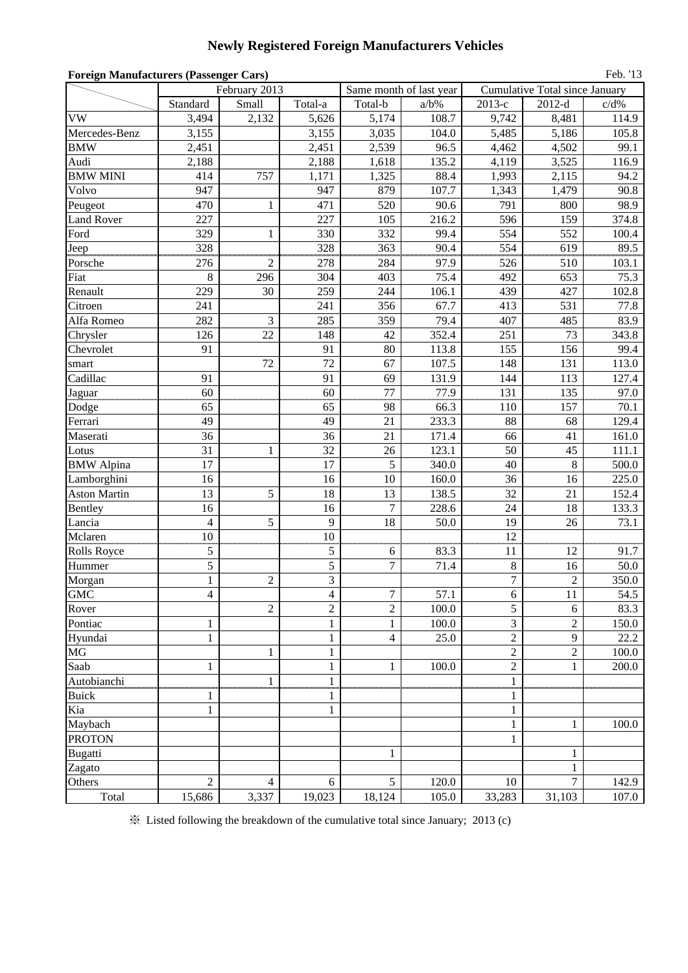# **Newly Registered Foreign Manufacturers Vehicles**

| <b>Foreign Manufacturers (Passenger Cars)</b><br>Feb. '13 |                          |                                                              |                |                  |                         |                  |                                |         |  |  |
|-----------------------------------------------------------|--------------------------|--------------------------------------------------------------|----------------|------------------|-------------------------|------------------|--------------------------------|---------|--|--|
|                                                           |                          | February 2013                                                |                |                  | Same month of last year |                  | Cumulative Total since January |         |  |  |
|                                                           | Standard                 | Small                                                        | Total-a        | Total-b          | $a/b\%$                 | 2013-е           | $2012-d$                       | $c/d\%$ |  |  |
| <b>VW</b>                                                 | 3,494                    | 2,132                                                        | 5,626          | 5,174            | 108.7                   | 9,742            | 8,481                          | 114.9   |  |  |
| Mercedes-Benz                                             | 3,155                    |                                                              | 3,155          | 3,035            | 104.0                   | 5,485            | 5,186                          | 105.8   |  |  |
| <b>BMW</b>                                                | 2,451                    |                                                              | 2,451          | 2,539            | 96.5                    | 4,462            | 4,502                          | 99.1    |  |  |
| Audi                                                      | 2,188                    |                                                              | 2,188          | 1,618            | 135.2                   | 4,119            | 3,525                          | 116.9   |  |  |
| <b>BMW MINI</b>                                           | 414                      | 757                                                          | 1,171          | 1,325            | 88.4                    | 1,993            | 2,115                          | 94.2    |  |  |
| Volvo                                                     | 947                      |                                                              | 947            | 879              | 107.7                   | 1,343            | 1,479                          | 90.8    |  |  |
| Peugeot                                                   | 470                      | $\mathbf{1}$                                                 | 471            | 520              | 90.6                    | 791              | 800                            | 98.9    |  |  |
| <b>Land Rover</b>                                         | 227                      |                                                              | 227            | 105              | 216.2                   | 596              | 159                            | 374.8   |  |  |
| Ford                                                      | 329                      | $\mathbf{1}$                                                 | 330            | 332              | 99.4                    | 554              | 552                            | 100.4   |  |  |
| Jeep                                                      | 328                      |                                                              | 328            | 363              | 90.4                    | 554              | 619                            | 89.5    |  |  |
| Porsche                                                   | 276                      | $\overline{c}$                                               | 278            | 284              | 97.9                    | 526              | 510                            | 103.1   |  |  |
| Fiat                                                      | $\,8\,$                  | 296                                                          | 304            | 403              | 75.4                    | 492              | 653                            | 75.3    |  |  |
| Renault                                                   | 229                      | 30                                                           | 259            | 244              | 106.1                   | 439              | 427                            | 102.8   |  |  |
| Citroen                                                   | 241                      |                                                              | 241            | 356              | 67.7                    | 413              | 531                            | 77.8    |  |  |
| Alfa Romeo                                                | 282                      | 3                                                            | 285            | 359              | 79.4                    | 407              | 485                            | 83.9    |  |  |
| Chrysler                                                  | 126                      | 22                                                           | 148            | 42               | 352.4                   | 251              | 73                             | 343.8   |  |  |
| Chevrolet                                                 | 91                       |                                                              | 91             | 80               | 113.8                   | 155              | 156                            | 99.4    |  |  |
| smart                                                     |                          | 72                                                           | 72             | 67               | 107.5                   | 148              | 131                            | 113.0   |  |  |
| Cadillac                                                  | 91                       |                                                              | 91             | 69               | 131.9                   | 144              | 113                            | 127.4   |  |  |
| Jaguar                                                    | 60                       |                                                              | 60             | 77               | 77.9                    | 131              | 135                            | 97.0    |  |  |
| Dodge                                                     | 65                       |                                                              | 65             | 98               | 66.3                    | 110              | 157                            | 70.1    |  |  |
| Ferrari                                                   | 49                       |                                                              | 49             | 21               | 233.3                   | 88               | 68                             | 129.4   |  |  |
| Maserati                                                  | 36                       |                                                              | 36             | 21               | 171.4                   | 66               | 41                             | 161.0   |  |  |
| Lotus                                                     | 31                       | 1                                                            | 32             | 26               | 123.1                   | 50               | 45                             | 111.1   |  |  |
| <b>BMW</b> Alpina                                         | 17                       |                                                              | 17             | 5                | 340.0                   | 40               | 8                              | 500.0   |  |  |
| Lamborghini                                               | 16                       |                                                              | 16             | 10               | 160.0                   | 36               | 16                             | 225.0   |  |  |
| <b>Aston Martin</b>                                       | 13                       | 5                                                            | 18             | 13               | 138.5                   | 32               | 21                             | 152.4   |  |  |
| Bentley                                                   | 16                       |                                                              | 16             | $\tau$           | 228.6                   | 24               | 18                             | 133.3   |  |  |
| Lancia                                                    | $\overline{4}$           | 5                                                            | 9              | 18               | 50.0                    | 19               | 26                             | 73.1    |  |  |
| Mclaren                                                   | 10                       |                                                              | 10             |                  |                         | 12               |                                |         |  |  |
| Rolls Royce                                               | $\sqrt{5}$               |                                                              | $\sqrt{5}$     | 6                | 83.3                    | 11               | 12                             | 91.7    |  |  |
| Hummer                                                    | 5                        |                                                              | 5              | $\tau$           | 71.4                    | $\,8\,$          | 16                             | 50.0    |  |  |
| Morgan                                                    | $\mathbf{1}$             | $\mathfrak{2}% =\mathfrak{2}\left( \mathfrak{2}\right) ^{2}$ | 3              |                  |                         | $\boldsymbol{7}$ | $\overline{2}$                 | 350.0   |  |  |
| <b>GMC</b>                                                | $\overline{\mathcal{L}}$ |                                                              | $\overline{4}$ | $\boldsymbol{7}$ | 57.1                    | $\sqrt{6}$       | $11\,$                         | 54.5    |  |  |
| Rover                                                     |                          | $\overline{2}$                                               | $\overline{2}$ | $\overline{2}$   | 100.0                   | 5                | 6                              | 83.3    |  |  |
| Pontiac                                                   | $\mathbf{1}$             |                                                              | $\mathbf{1}$   | $\mathbf{1}$     | 100.0                   | 3                | $\overline{c}$                 | 150.0   |  |  |
| Hyundai                                                   | $\mathbf{1}$             |                                                              | $\mathbf{1}$   | $\overline{4}$   | 25.0                    | $\overline{c}$   | 9                              | 22.2    |  |  |
| $\rm MG$                                                  |                          | 1                                                            | $\mathbf{1}$   |                  |                         | $\overline{c}$   | $\overline{c}$                 | 100.0   |  |  |
| Saab                                                      | $\mathbf{1}$             |                                                              | $\,1$          | $\mathbf{1}$     | 100.0                   | $\overline{c}$   | $\mathbf{1}$                   | 200.0   |  |  |
| Autobianchi                                               |                          | 1                                                            | $\mathbf{1}$   |                  |                         | $\mathbf{1}$     |                                |         |  |  |
| <b>Buick</b>                                              | 1                        |                                                              | 1              |                  |                         | 1                |                                |         |  |  |
| Kia                                                       | $\mathbf{1}$             |                                                              | $\mathbf{1}$   |                  |                         | $\mathbf{1}$     |                                |         |  |  |
| Maybach                                                   |                          |                                                              |                |                  |                         | 1                | 1                              | 100.0   |  |  |
| <b>PROTON</b>                                             |                          |                                                              |                |                  |                         | $\mathbf{1}$     |                                |         |  |  |
| <b>Bugatti</b>                                            |                          |                                                              |                | $\mathbf{1}$     |                         |                  | $\mathbf{1}$                   |         |  |  |
| Zagato                                                    |                          |                                                              |                |                  |                         |                  | $\mathbf{1}$                   |         |  |  |
| Others                                                    | $\overline{c}$           | $\overline{4}$                                               | 6              | 5                | 120.0                   | 10               | $\overline{7}$                 | 142.9   |  |  |
| Total                                                     | 15,686                   | 3,337                                                        | 19,023         | 18,124           | 105.0                   | 33,283           | 31,103                         | 107.0   |  |  |

※ Listed following the breakdown of the cumulative total since January; 2013 (c)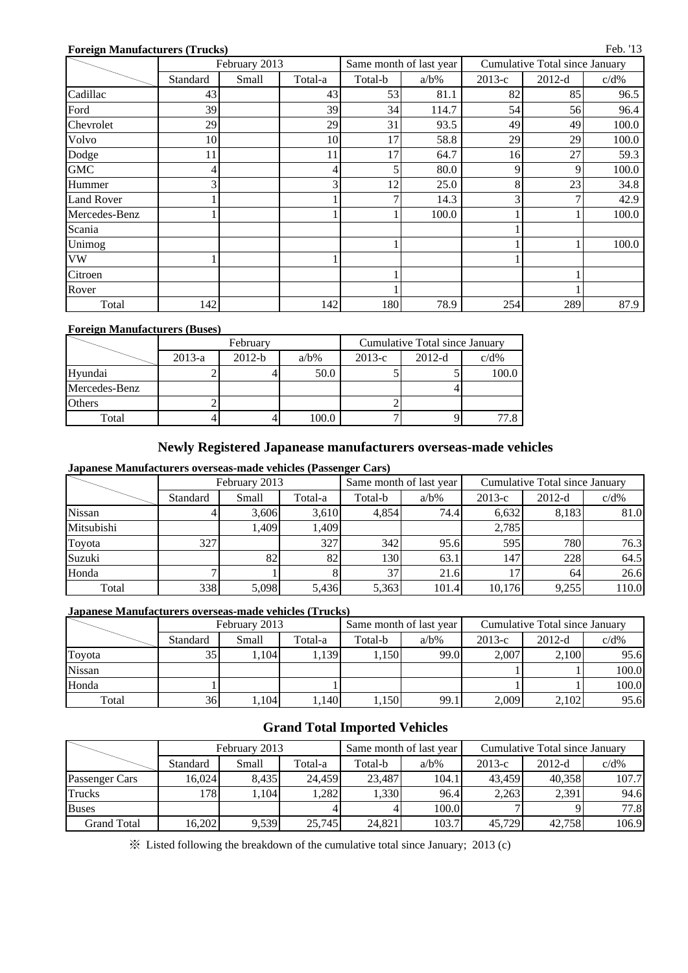#### **Foreign Manufacturers (Trucks)**

|                   | February 2013 |       |         |         | Same month of last year | <b>Cumulative Total since January</b> |          |         |  |
|-------------------|---------------|-------|---------|---------|-------------------------|---------------------------------------|----------|---------|--|
|                   | Standard      | Small | Total-a | Total-b | $a/b\%$                 | $2013-c$                              | $2012-d$ | $c/d\%$ |  |
| Cadillac          | 43            |       | 43      | 53      | 81.1                    | 82                                    | 85       | 96.5    |  |
| Ford              | 39            |       | 39      | 34      | 114.7                   | 54                                    | 56       | 96.4    |  |
| Chevrolet         | 29            |       | 29      | 31      | 93.5                    | 49                                    | 49       | 100.0   |  |
| Volvo             | 10            |       | 10      | 17      | 58.8                    | 29                                    | 29       | 100.0   |  |
| Dodge             | 11            |       | 11      | 17      | 64.7                    | 16                                    | 27       | 59.3    |  |
| <b>GMC</b>        |               |       | 4       | 5       | 80.0                    | 9                                     | 9        | 100.0   |  |
| Hummer            |               |       | 3       | 12      | 25.0                    | 8                                     | 23       | 34.8    |  |
| <b>Land Rover</b> |               |       |         | 7       | 14.3                    | 3                                     |          | 42.9    |  |
| Mercedes-Benz     |               |       |         |         | 100.0                   |                                       |          | 100.0   |  |
| Scania            |               |       |         |         |                         |                                       |          |         |  |
| Unimog            |               |       |         |         |                         |                                       |          | 100.0   |  |
| <b>VW</b>         |               |       |         |         |                         |                                       |          |         |  |
| Citroen           |               |       |         |         |                         |                                       |          |         |  |
| Rover             |               |       |         |         |                         |                                       |          |         |  |
| Total             | 142           |       | 142     | 180     | 78.9                    | 254                                   | 289      | 87.9    |  |

#### **Foreign Manufacturers (Buses)**

|               |          | February |         | Cumulative Total since January |          |         |  |  |
|---------------|----------|----------|---------|--------------------------------|----------|---------|--|--|
|               | $2013-a$ | $2012-b$ | $a/b\%$ | $2013-c$                       | $2012-d$ | $c/d\%$ |  |  |
| Hyundai       |          |          | 50.0    |                                |          | 100.0   |  |  |
| Mercedes-Benz |          |          |         |                                |          |         |  |  |
| <b>Others</b> |          |          |         |                                |          |         |  |  |
| Total         |          |          | 100.0   |                                |          |         |  |  |

#### **Newly Registered Japanease manufacturers overseas-made vehicles**

**Japanese Manufacturers overseas-made vehicles (Passenger Cars)**

|               |          | February 2013 |         | Same month of last year |         | Cumulative Total since January |          |         |  |
|---------------|----------|---------------|---------|-------------------------|---------|--------------------------------|----------|---------|--|
|               | Standard | Small         | Total-a | Total-b                 | $a/b\%$ | $2013-c$                       | $2012-d$ | $c/d\%$ |  |
| <b>Nissan</b> |          | 3.606         | 3.610   | 4.854                   | 74.4    | 6,632                          | 8,183    | 81.0    |  |
| Mitsubishi    |          | ,409          | 1.409   |                         |         | 2,785                          |          |         |  |
| Toyota        | 327      |               | 327     | 342                     | 95.6    | 595                            | 780      | 76.3    |  |
| Suzuki        |          | 82            | 82      | 1301                    | 63.1    | 1471                           | 228      | 64.5    |  |
| Honda         |          |               |         | 37                      | 21.6    | 7.                             | 64       | 26.6    |  |
| Total         | 338      | 5,098         | 5,436   | 5,363                   | 101.4   | 10,176                         | 9,255    | 110.0   |  |

#### **Japanese Manufacturers overseas-made vehicles (Trucks)**

|        | February 2013 |       |         |         | Same month of last year | Cumulative Total since January |          |         |  |
|--------|---------------|-------|---------|---------|-------------------------|--------------------------------|----------|---------|--|
|        | Standard      | Small | Total-a | Total-b | $a/b\%$                 | $2013-c$                       | $2012-d$ | $c/d\%$ |  |
| Toyota | 35            | .104  | .139    | 1.150   | 99.0                    | 2.007                          | 2.100    | 95.6    |  |
| Nissan |               |       |         |         |                         |                                |          | 100.0   |  |
| Honda  |               |       |         |         |                         |                                |          | 100.0   |  |
| Total  | 36            | ,104  | ,140    | 1,150   | 99.1                    | 2,009                          | 2,102    | 95.6    |  |

### **Grand Total Imported Vehicles**

|                |          | February 2013 |         |         | Same month of last year | Cumulative Total since January |          |         |  |
|----------------|----------|---------------|---------|---------|-------------------------|--------------------------------|----------|---------|--|
|                | Standard | Small         | Total-a | Total-b | $a/b\%$                 | $2013-c$                       | $2012-d$ | $c/d\%$ |  |
| Passenger Cars | 16.024   | 8.435         | 24.459  | 23,487  | 104.1                   | 43.459                         | 40,358   | 107.7   |  |
| <b>Trucks</b>  | 1781     | .104          | .282    | 1,330   | 96.4                    | 2.263                          | 2,391    | 94.6    |  |
| <b>Buses</b>   |          |               |         |         | 100.0                   |                                |          | 77.8    |  |
| Grand Total    | 16,202   | 9,539         | 25,745  | 24,821  | 103.7                   | 45,729                         | 42,758   | 106.9   |  |

※ Listed following the breakdown of the cumulative total since January; 2013 (c)